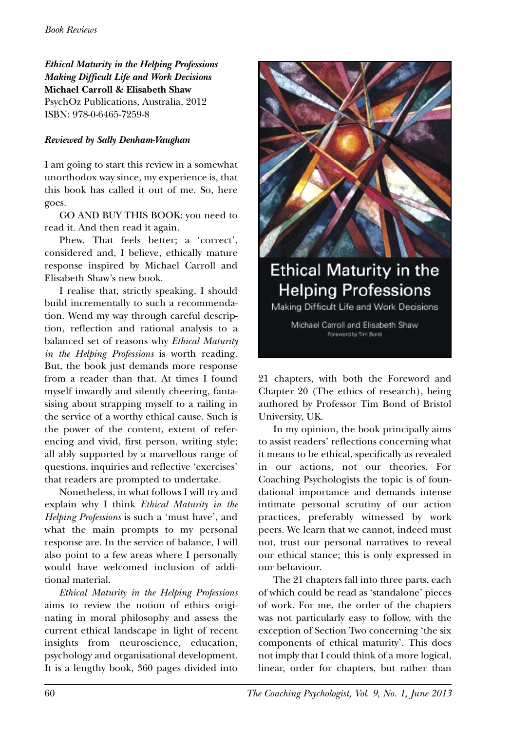*Ethical Maturity in the Helping Professions Making Difficult Life and Work Decisions* **Michael Carroll & Elisabeth Shaw** PsychOz Publications, Australia, 2012 ISBN: 978-0-6465-7259-8

## *Reviewed by Sally Denham-Vaughan*

I am going to start this review in a somewhat unorthodox way since, my experience is, that this book has called it out of me. So, here goes.

GO AND BUY THIS BOOK: you need to read it. And then read it again.

Phew. That feels better; a 'correct', considered and, I believe, ethically mature response inspired by Michael Carroll and Elisabeth Shaw's new book.

I realise that, strictly speaking, I should build incrementally to such a recommendation. Wend my way through careful description, reflection and rational analysis to a balanced set of reasons why *Ethical Maturity in the Helping Professions* is worth reading. But, the book just demands more response from a reader than that. At times I found myself inwardly and silently cheering, fantasising about strapping myself to a railing in the service of a worthy ethical cause. Such is the power of the content, extent of referencing and vivid, first person, writing style; all ably supported by a marvellous range of questions, inquiries and reflective 'exercises' that readers are prompted to undertake.

Nonetheless, in what follows I will try and explain why I think *Ethical Maturity in the Helping Professions* is such a 'must have', and what the main prompts to my personal response are. In the service of balance, I will also point to a few areas where I personally would have welcomed inclusion of additional material.

*Ethical Maturity in the Helping Professions* aims to review the notion of ethics originating in moral philosophy and assess the current ethical landscape in light of recent insights from neuroscience, education, psychology and organisational development. It is a lengthy book, 360 pages divided into



## **Ethical Maturity in the Helping Professions**

Making Difficult Life and Work Decisions

Michael Carroll and Elisabeth Shaw Foreword by Tim Bond

21 chapters, with both the Foreword and Chapter 20 (The ethics of research), being authored by Professor Tim Bond of Bristol University, UK.

In my opinion, the book principally aims to assist readers' reflections concerning what it means to be ethical, specifically as revealed in our actions, not our theories. For Coaching Psychologists the topic is of foundational importance and demands intense intimate personal scrutiny of our action practices, preferably witnessed by work peers. We learn that we cannot, indeed must not, trust our personal narratives to reveal our ethical stance; this is only expressed in our behaviour.

The 21 chapters fall into three parts, each of which could be read as 'standalone' pieces of work. For me, the order of the chapters was not particularly easy to follow, with the exception of Section Two concerning 'the six components of ethical maturity'. This does not imply that I could think of a more logical, linear, order for chapters, but rather than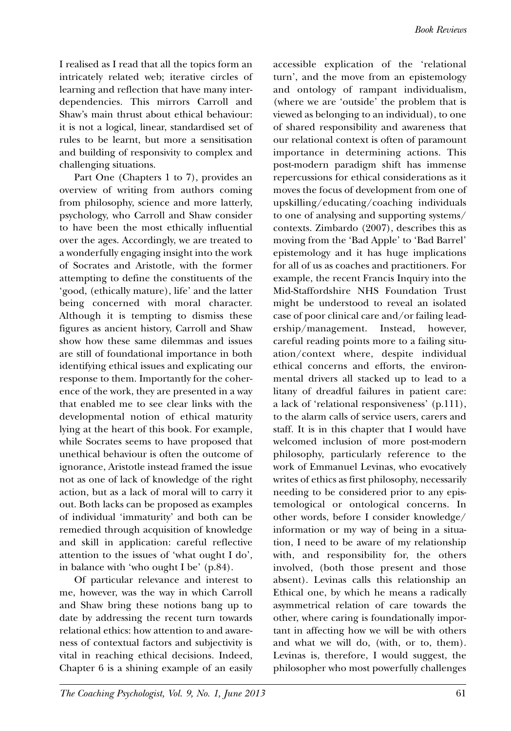I realised as I read that all the topics form an intricately related web; iterative circles of learning and reflection that have many interdependencies. This mirrors Carroll and Shaw's main thrust about ethical behaviour: it is not a logical, linear, standardised set of rules to be learnt, but more a sensitisation and building of responsivity to complex and challenging situations.

Part One (Chapters 1 to 7), provides an overview of writing from authors coming from philosophy, science and more latterly, psychology, who Carroll and Shaw consider to have been the most ethically influential over the ages. Accordingly, we are treated to a wonderfully engaging insight into the work of Socrates and Aristotle, with the former attempting to define the constituents of the 'good, (ethically mature), life' and the latter being concerned with moral character. Although it is tempting to dismiss these figures as ancient history, Carroll and Shaw show how these same dilemmas and issues are still of foundational importance in both identifying ethical issues and explicating our response to them. Importantly for the coherence of the work, they are presented in a way that enabled me to see clear links with the developmental notion of ethical maturity lying at the heart of this book. For example, while Socrates seems to have proposed that unethical behaviour is often the outcome of ignorance, Aristotle instead framed the issue not as one of lack of knowledge of the right action, but as a lack of moral will to carry it out. Both lacks can be proposed as examples of individual 'immaturity' and both can be remedied through acquisition of knowledge and skill in application: careful reflective attention to the issues of 'what ought I do', in balance with 'who ought I be' (p.84).

Of particular relevance and interest to me, however, was the way in which Carroll and Shaw bring these notions bang up to date by addressing the recent turn towards relational ethics: how attention to and awareness of contextual factors and subjectivity is vital in reaching ethical decisions. Indeed, Chapter 6 is a shining example of an easily accessible explication of the 'relational turn', and the move from an epistemology and ontology of rampant individualism, (where we are 'outside' the problem that is viewed as belonging to an individual), to one of shared responsibility and awareness that our relational context is often of paramount importance in determining actions. This post-modern paradigm shift has immense repercussions for ethical considerations as it moves the focus of development from one of upskilling/educating/coaching individuals to one of analysing and supporting systems/ contexts. Zimbardo (2007), describes this as moving from the 'Bad Apple' to 'Bad Barrel' epistemology and it has huge implications for all of us as coaches and practitioners. For example, the recent Francis Inquiry into the Mid-Staffordshire NHS Foundation Trust might be understood to reveal an isolated case of poor clinical care and/or failing leadership/management. Instead, however, careful reading points more to a failing situation/context where, despite individual ethical concerns and efforts, the environmental drivers all stacked up to lead to a litany of dreadful failures in patient care: a lack of 'relational responsiveness' (p.111), to the alarm calls of service users, carers and staff. It is in this chapter that I would have welcomed inclusion of more post-modern philosophy, particularly reference to the work of Emmanuel Levinas, who evocatively writes of ethics as first philosophy, necessarily needing to be considered prior to any epistemological or ontological concerns. In other words, before I consider knowledge/ information or my way of being in a situation, I need to be aware of my relationship with, and responsibility for, the others involved, (both those present and those absent). Levinas calls this relationship an Ethical one, by which he means a radically asymmetrical relation of care towards the other, where caring is foundationally important in affecting how we will be with others and what we will do, (with, or to, them). Levinas is, therefore, I would suggest, the philosopher who most powerfully challenges